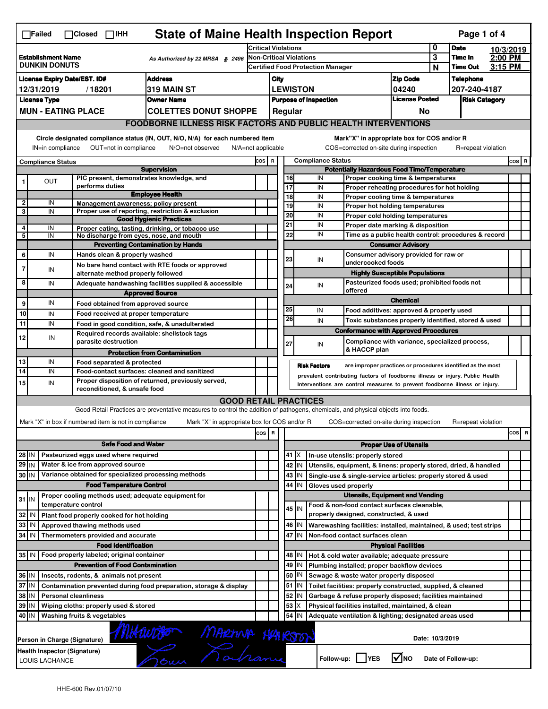| <b>State of Maine Health Inspection Report</b><br>Page 1 of 4<br>$\Box$ Failed<br>$\Box$ Closed $\Box$ IHH |                                                |  |                                                                                              |                                                                                                                                   |                 |                                          |          |                     |                              |                                                                                                                           |                               |                  |                      |  |          |
|------------------------------------------------------------------------------------------------------------|------------------------------------------------|--|----------------------------------------------------------------------------------------------|-----------------------------------------------------------------------------------------------------------------------------------|-----------------|------------------------------------------|----------|---------------------|------------------------------|---------------------------------------------------------------------------------------------------------------------------|-------------------------------|------------------|----------------------|--|----------|
| <b>Establishment Name</b><br>As Authorized by 22 MRSA § 2496<br><b>DUNKIN DONUTS</b>                       |                                                |  | <b>Critical Violations</b>                                                                   |                                                                                                                                   |                 |                                          |          | 0                   | <b>Date</b>                  |                                                                                                                           | 10/3/2019                     |                  |                      |  |          |
|                                                                                                            |                                                |  | <b>Non-Critical Violations</b>                                                               |                                                                                                                                   |                 | <b>Certified Food Protection Manager</b> |          |                     | 3<br>N                       | Time In<br><b>Time Out</b>                                                                                                | 2:00 PM<br>3:15 PM            |                  |                      |  |          |
| <b>Address</b><br><b>License Expiry Date/EST. ID#</b>                                                      |                                                |  |                                                                                              |                                                                                                                                   | City            | Zip Code                                 |          |                     |                              |                                                                                                                           |                               | <b>Telephone</b> |                      |  |          |
| 319 MAIN ST<br>12/31/2019<br>/18201                                                                        |                                                |  |                                                                                              |                                                                                                                                   | <b>LEWISTON</b> |                                          |          |                     | 04240                        |                                                                                                                           | 207-240-4187                  |                  |                      |  |          |
| <b>Owner Name</b><br><b>License Type</b>                                                                   |                                                |  |                                                                                              |                                                                                                                                   |                 |                                          |          |                     | <b>Purpose of Inspection</b> |                                                                                                                           | <b>License Posted</b>         |                  | <b>Risk Category</b> |  |          |
| <b>MUN - EATING PLACE</b><br><b>COLETTES DONUT SHOPPE</b>                                                  |                                                |  |                                                                                              |                                                                                                                                   |                 |                                          | Regular  |                     |                              |                                                                                                                           | No                            |                  |                      |  |          |
|                                                                                                            |                                                |  |                                                                                              | <b>FOODBORNE ILLNESS RISK FACTORS AND PUBLIC HEALTH INTERVENTIONS</b>                                                             |                 |                                          |          |                     |                              |                                                                                                                           |                               |                  |                      |  |          |
|                                                                                                            |                                                |  |                                                                                              | Circle designated compliance status (IN, OUT, N/O, N/A) for each numbered item                                                    |                 |                                          |          |                     |                              | Mark"X" in appropriate box for COS and/or R                                                                               |                               |                  |                      |  |          |
|                                                                                                            | IN=in compliance                               |  | OUT=not in compliance                                                                        | N/O=not observed<br>$N/A = not$ applicable                                                                                        |                 |                                          |          |                     |                              | COS=corrected on-site during inspection                                                                                   |                               |                  | R=repeat violation   |  |          |
|                                                                                                            | <b>Compliance Status</b>                       |  |                                                                                              |                                                                                                                                   | COS R           |                                          |          |                     | <b>Compliance Status</b>     |                                                                                                                           |                               |                  |                      |  | $cos$ R  |
|                                                                                                            |                                                |  |                                                                                              | <b>Supervision</b>                                                                                                                |                 |                                          |          |                     |                              | <b>Potentially Hazardous Food Time/Temperature</b>                                                                        |                               |                  |                      |  |          |
| 1                                                                                                          | OUT                                            |  | PIC present, demonstrates knowledge, and<br>performs duties                                  |                                                                                                                                   |                 |                                          | 16<br>17 |                     | IN<br>IN                     | Proper cooking time & temperatures<br>Proper reheating procedures for hot holding                                         |                               |                  |                      |  |          |
|                                                                                                            |                                                |  |                                                                                              | <b>Employee Health</b>                                                                                                            |                 |                                          | 18       |                     | IN                           | Proper cooling time & temperatures                                                                                        |                               |                  |                      |  |          |
| $\overline{\mathbf{2}}$<br>3 <sup>1</sup>                                                                  | IN                                             |  | Management awareness; policy present                                                         |                                                                                                                                   |                 |                                          | 19       |                     | IN                           | Proper hot holding temperatures                                                                                           |                               |                  |                      |  |          |
|                                                                                                            | IN                                             |  |                                                                                              | Proper use of reporting, restriction & exclusion<br><b>Good Hygienic Practices</b>                                                |                 |                                          | 20       |                     | IN                           | Proper cold holding temperatures                                                                                          |                               |                  |                      |  |          |
| 4                                                                                                          | IN                                             |  |                                                                                              | Proper eating, tasting, drinking, or tobacco use                                                                                  |                 |                                          | 21       |                     | IN                           | Proper date marking & disposition                                                                                         |                               |                  |                      |  |          |
| 5                                                                                                          | IN                                             |  | No discharge from eyes, nose, and mouth                                                      |                                                                                                                                   |                 |                                          | 22       |                     | IN                           | Time as a public health control: procedures & record                                                                      |                               |                  |                      |  |          |
| 6                                                                                                          | IN                                             |  | Hands clean & properly washed                                                                | <b>Preventing Contamination by Hands</b>                                                                                          |                 |                                          |          |                     |                              | Consumer advisory provided for raw or                                                                                     | <b>Consumer Advisory</b>      |                  |                      |  |          |
|                                                                                                            |                                                |  |                                                                                              | No bare hand contact with RTE foods or approved                                                                                   |                 |                                          | 23       |                     | IN                           | undercooked foods                                                                                                         |                               |                  |                      |  |          |
| 7                                                                                                          | IN                                             |  | alternate method properly followed                                                           |                                                                                                                                   |                 |                                          |          |                     |                              | <b>Highly Susceptible Populations</b>                                                                                     |                               |                  |                      |  |          |
| 8                                                                                                          | IN                                             |  |                                                                                              | Adequate handwashing facilities supplied & accessible                                                                             |                 |                                          | 24       |                     | IN                           | Pasteurized foods used; prohibited foods not                                                                              |                               |                  |                      |  |          |
|                                                                                                            |                                                |  |                                                                                              | <b>Approved Source</b>                                                                                                            |                 |                                          |          |                     |                              | offered                                                                                                                   | <b>Chemical</b>               |                  |                      |  |          |
| 9                                                                                                          | IN                                             |  | Food obtained from approved source                                                           |                                                                                                                                   |                 |                                          | 25       |                     | IN                           | Food additives: approved & properly used                                                                                  |                               |                  |                      |  |          |
| 10                                                                                                         | IN                                             |  | Food received at proper temperature                                                          |                                                                                                                                   |                 |                                          | 26       |                     | IN                           | Toxic substances properly identified, stored & used                                                                       |                               |                  |                      |  |          |
| 11                                                                                                         | IN                                             |  | Food in good condition, safe, & unadulterated<br>Required records available: shellstock tags |                                                                                                                                   |                 |                                          |          |                     |                              | <b>Conformance with Approved Procedures</b>                                                                               |                               |                  |                      |  |          |
| 12                                                                                                         | IN                                             |  | parasite destruction                                                                         |                                                                                                                                   |                 |                                          |          |                     |                              |                                                                                                                           |                               |                  |                      |  |          |
|                                                                                                            |                                                |  |                                                                                              |                                                                                                                                   |                 |                                          |          |                     |                              | Compliance with variance, specialized process,                                                                            |                               |                  |                      |  |          |
|                                                                                                            |                                                |  |                                                                                              | <b>Protection from Contamination</b>                                                                                              |                 |                                          | 27       |                     | IN                           | & HACCP plan                                                                                                              |                               |                  |                      |  |          |
| 13                                                                                                         | IN                                             |  | Food separated & protected                                                                   |                                                                                                                                   |                 |                                          |          | <b>Risk Factors</b> |                              | are improper practices or procedures identified as the most                                                               |                               |                  |                      |  |          |
| 14                                                                                                         | IN                                             |  | Food-contact surfaces: cleaned and sanitized                                                 |                                                                                                                                   |                 |                                          |          |                     |                              | prevalent contributing factors of foodborne illness or injury. Public Health                                              |                               |                  |                      |  |          |
| 15                                                                                                         | IN                                             |  | reconditioned, & unsafe food                                                                 | Proper disposition of returned, previously served,                                                                                |                 |                                          |          |                     |                              | Interventions are control measures to prevent foodborne illness or injury.                                                |                               |                  |                      |  |          |
|                                                                                                            |                                                |  |                                                                                              | <b>GOOD RETAIL PRACTICES</b>                                                                                                      |                 |                                          |          |                     |                              |                                                                                                                           |                               |                  |                      |  |          |
|                                                                                                            |                                                |  |                                                                                              | Good Retail Practices are preventative measures to control the addition of pathogens, chemicals, and physical objects into foods. |                 |                                          |          |                     |                              |                                                                                                                           |                               |                  |                      |  |          |
|                                                                                                            |                                                |  | Mark "X" in box if numbered item is not in compliance                                        | Mark "X" in appropriate box for COS and/or R                                                                                      |                 |                                          |          |                     |                              | COS=corrected on-site during inspection                                                                                   |                               |                  | R=repeat violation   |  |          |
|                                                                                                            |                                                |  |                                                                                              |                                                                                                                                   | cos             | R                                        |          |                     |                              |                                                                                                                           |                               |                  |                      |  | cos<br>R |
|                                                                                                            |                                                |  | <b>Safe Food and Water</b>                                                                   |                                                                                                                                   |                 |                                          |          |                     |                              |                                                                                                                           | <b>Proper Use of Utensils</b> |                  |                      |  |          |
| 28 IN                                                                                                      |                                                |  | Pasteurized eggs used where required                                                         |                                                                                                                                   |                 |                                          | 41   X   |                     |                              | In-use utensils: properly stored                                                                                          |                               |                  |                      |  |          |
| 29 IN                                                                                                      |                                                |  | Water & ice from approved source                                                             |                                                                                                                                   |                 |                                          | 42       | IN                  |                              | Utensils, equipment, & linens: properly stored, dried, & handled                                                          |                               |                  |                      |  |          |
| 30 IN                                                                                                      |                                                |  | Variance obtained for specialized processing methods                                         |                                                                                                                                   |                 |                                          | 43       | IN                  |                              | Single-use & single-service articles: properly stored & used                                                              |                               |                  |                      |  |          |
|                                                                                                            |                                                |  | <b>Food Temperature Control</b>                                                              |                                                                                                                                   |                 |                                          | 44       | IN                  | Gloves used properly         |                                                                                                                           |                               |                  |                      |  |          |
| $31$ IN                                                                                                    |                                                |  | Proper cooling methods used; adequate equipment for<br>temperature control                   |                                                                                                                                   |                 |                                          |          |                     |                              | <b>Utensils, Equipment and Vending</b><br>Food & non-food contact surfaces cleanable,                                     |                               |                  |                      |  |          |
| 32 IN                                                                                                      |                                                |  | Plant food properly cooked for hot holding                                                   |                                                                                                                                   |                 |                                          | 45 IN    |                     |                              | properly designed, constructed, & used                                                                                    |                               |                  |                      |  |          |
| 33   IN                                                                                                    |                                                |  | Approved thawing methods used                                                                |                                                                                                                                   |                 |                                          | 46       | IN                  |                              | Warewashing facilities: installed, maintained, & used; test strips                                                        |                               |                  |                      |  |          |
| 34 IN                                                                                                      |                                                |  | Thermometers provided and accurate                                                           |                                                                                                                                   |                 |                                          | 47       | IN.                 |                              | Non-food contact surfaces clean                                                                                           |                               |                  |                      |  |          |
|                                                                                                            |                                                |  | <b>Food Identification</b>                                                                   |                                                                                                                                   |                 |                                          |          |                     |                              |                                                                                                                           | <b>Physical Facilities</b>    |                  |                      |  |          |
|                                                                                                            |                                                |  | 35 IN   Food properly labeled; original container                                            |                                                                                                                                   |                 |                                          | 48       | ΙIΝ                 |                              | Hot & cold water available; adequate pressure                                                                             |                               |                  |                      |  |          |
|                                                                                                            |                                                |  | <b>Prevention of Food Contamination</b>                                                      |                                                                                                                                   |                 |                                          | 49       | IN                  |                              | Plumbing installed; proper backflow devices                                                                               |                               |                  |                      |  |          |
| 36 IN<br>37 IN                                                                                             |                                                |  | Insects, rodents, & animals not present                                                      |                                                                                                                                   |                 |                                          | 50<br>51 | IN<br>ΙM            |                              | Sewage & waste water properly disposed                                                                                    |                               |                  |                      |  |          |
| 38 IN                                                                                                      |                                                |  | <b>Personal cleanliness</b>                                                                  | Contamination prevented during food preparation, storage & display                                                                |                 |                                          | 52       | IN                  |                              | Toilet facilities: properly constructed, supplied, & cleaned<br>Garbage & refuse properly disposed; facilities maintained |                               |                  |                      |  |          |
| 39 IN                                                                                                      |                                                |  | Wiping cloths: properly used & stored                                                        |                                                                                                                                   |                 |                                          | 53       | X                   |                              | Physical facilities installed, maintained, & clean                                                                        |                               |                  |                      |  |          |
| 40   IN                                                                                                    |                                                |  | Washing fruits & vegetables                                                                  |                                                                                                                                   |                 |                                          | 54       | IN                  |                              | Adequate ventilation & lighting; designated areas used                                                                    |                               |                  |                      |  |          |
|                                                                                                            |                                                |  |                                                                                              |                                                                                                                                   |                 |                                          |          |                     |                              |                                                                                                                           |                               |                  |                      |  |          |
|                                                                                                            | Person in Charge (Signature)                   |  |                                                                                              |                                                                                                                                   |                 |                                          |          |                     |                              |                                                                                                                           |                               | Date: 10/3/2019  |                      |  |          |
|                                                                                                            | Health Inspector (Signature)<br>LOUIS LACHANCE |  |                                                                                              | Mitaurison MARANA HAIRSON                                                                                                         |                 |                                          |          |                     |                              | Follow-up:     YES                                                                                                        | ∣√мо                          |                  | Date of Follow-up:   |  |          |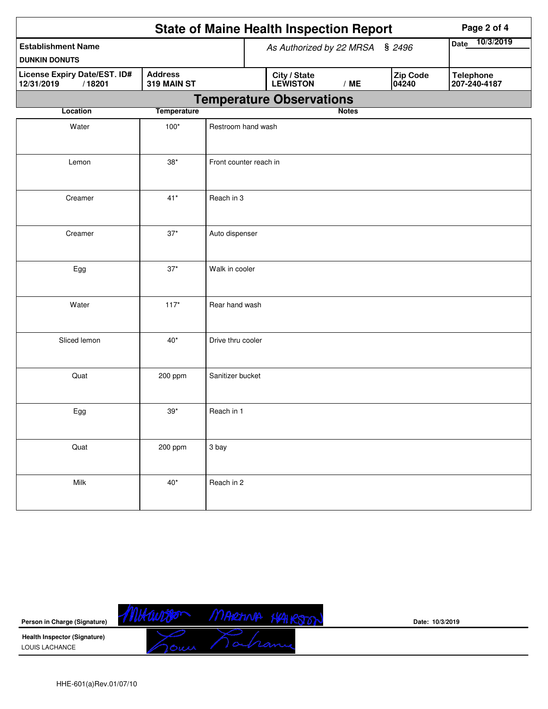|                                                      |                               | <b>State of Maine Health Inspection Report</b><br>Page 2 of 4                            |
|------------------------------------------------------|-------------------------------|------------------------------------------------------------------------------------------|
| <b>Establishment Name</b><br><b>DUNKIN DONUTS</b>    |                               | 10/3/2019<br><b>Date</b><br>As Authorized by 22 MRSA § 2496                              |
| License Expiry Date/EST. ID#<br>/18201<br>12/31/2019 | <b>Address</b><br>319 MAIN ST | Zip Code<br>City / State<br>LEWISTON<br><b>Telephone</b><br>207-240-4187<br>/ME<br>04240 |
|                                                      |                               | <b>Temperature Observations</b>                                                          |
| Location                                             | <b>Temperature</b>            | <b>Notes</b>                                                                             |
| Water                                                | $100*$                        | Restroom hand wash                                                                       |
| Lemon                                                | $38*$                         | Front counter reach in                                                                   |
| Creamer                                              | $41*$                         | Reach in 3                                                                               |
| Creamer                                              | $37*$                         | Auto dispenser                                                                           |
| Egg                                                  | $37^{\star}$                  | Walk in cooler                                                                           |
| Water                                                | $117*$                        | Rear hand wash                                                                           |
| Sliced lemon                                         | $40*$                         | Drive thru cooler                                                                        |
| Quat                                                 | 200 ppm                       | Sanitizer bucket                                                                         |
| Egg                                                  | $39*$                         | Reach in 1                                                                               |
| Quat                                                 | 200 ppm                       | 3 bay                                                                                    |
| Milk                                                 | $40^*$                        | Reach in 2                                                                               |

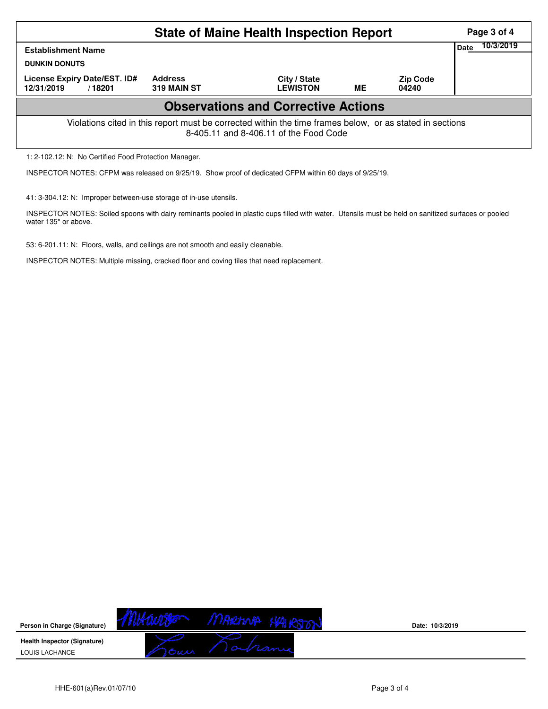|                                                                                                                                                    | Page 3 of 4                   |                                            |    |                          |      |           |  |  |
|----------------------------------------------------------------------------------------------------------------------------------------------------|-------------------------------|--------------------------------------------|----|--------------------------|------|-----------|--|--|
| <b>Establishment Name</b><br><b>DUNKIN DONUTS</b>                                                                                                  |                               |                                            |    |                          | Date | 10/3/2019 |  |  |
| License Expiry Date/EST. ID#<br>12/31/2019<br>/18201                                                                                               | <b>Address</b><br>319 MAIN ST | City / State<br><b>LEWISTON</b>            | ME | <b>Zip Code</b><br>04240 |      |           |  |  |
|                                                                                                                                                    |                               | <b>Observations and Corrective Actions</b> |    |                          |      |           |  |  |
| Violations cited in this report must be corrected within the time frames below, or as stated in sections<br>8-405.11 and 8-406.11 of the Food Code |                               |                                            |    |                          |      |           |  |  |
| 1: 2-102.12: N: No Certified Food Protection Manager.                                                                                              |                               |                                            |    |                          |      |           |  |  |

INSPECTOR NOTES: CFPM was released on 9/25/19. Show proof of dedicated CFPM within 60 days of 9/25/19.

41: 3-304.12: N: Improper between-use storage of in-use utensils.

INSPECTOR NOTES: Soiled spoons with dairy reminants pooled in plastic cups filled with water. Utensils must be held on sanitized surfaces or pooled water 135\* or above.

53: 6-201.11: N: Floors, walls, and ceilings are not smooth and easily cleanable.

INSPECTOR NOTES: Multiple missing, cracked floor and coving tiles that need replacement.



**Date: 10/3/2019**